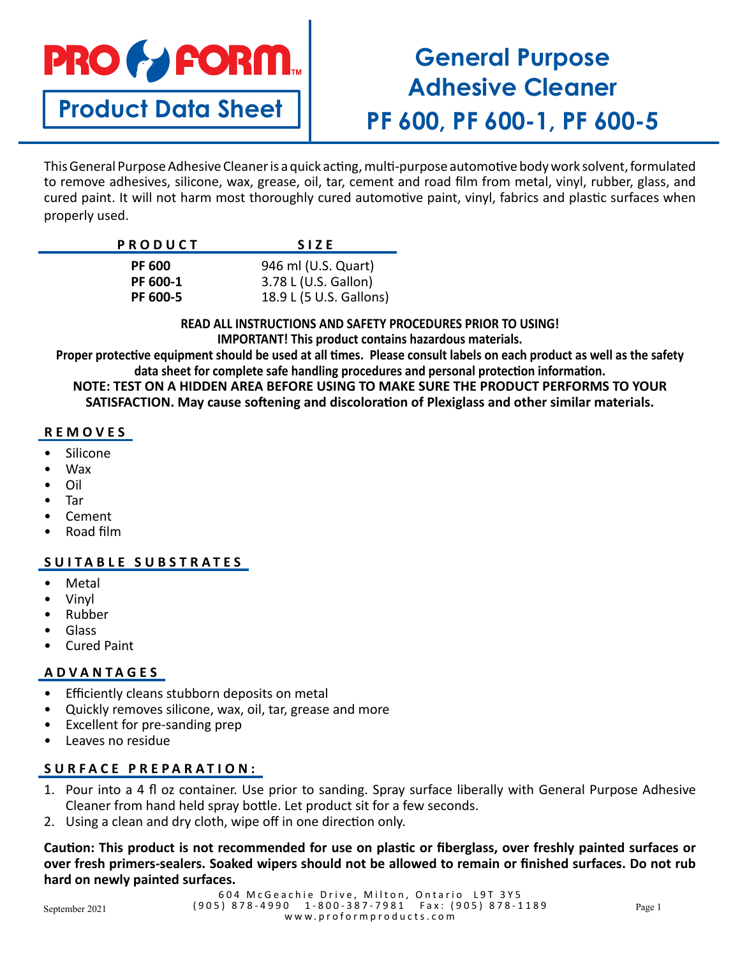

**Product Data Sheet**

# **General Purpose Adhesive Cleaner PF 600, PF 600-1, PF 600-5**

This General Purpose Adhesive Cleaner is a quick acting, multi-purpose automotive body work solvent, formulated to remove adhesives, silicone, wax, grease, oil, tar, cement and road film from metal, vinyl, rubber, glass, and cured paint. It will not harm most thoroughly cured automotive paint, vinyl, fabrics and plastic surfaces when properly used.

| <b>PRODUCT</b> | <b>SIZE</b>             |
|----------------|-------------------------|
| <b>PF 600</b>  | 946 ml (U.S. Quart)     |
| PF 600-1       | 3.78 L (U.S. Gallon)    |
| PF 600-5       | 18.9 L (5 U.S. Gallons) |

**READ ALL INSTRUCTIONS AND SAFETY PROCEDURES PRIOR TO USING! IMPORTANT! This product contains hazardous materials.**

**Proper protective equipment should be used at all times. Please consult labels on each product as well as the safety data sheet for complete safe handling procedures and personal protection information. NOTE: TEST ON A HIDDEN AREA BEFORE USING TO MAKE SURE THE PRODUCT PERFORMS TO YOUR SATISFACTION. May cause softening and discoloration of Plexiglass and other similar materials.**

## **REMOVES**

- **Silicone**
- Wax
- Oil
- Tar
- Cement
- Road film

# **SUITABLE SUBSTRATES**

- **Metal**
- Vinyl
- Rubber
- Glass
- Cured Paint

# **ADVANTAGES**

- Efficiently cleans stubborn deposits on metal
- Quickly removes silicone, wax, oil, tar, grease and more
- Excellent for pre-sanding prep
- Leaves no residue

# **SURFACE PREPARATION:**

- 1. Pour into a 4 fl oz container. Use prior to sanding. Spray surface liberally with General Purpose Adhesive Cleaner from hand held spray bottle. Let product sit for a few seconds.
- 2. Using a clean and dry cloth, wipe off in one direction only.

**Caution: This product is not recommended for use on plastic or fiberglass, over freshly painted surfaces or over fresh primers-sealers. Soaked wipers should not be allowed to remain or finished surfaces. Do not rub hard on newly painted surfaces.**